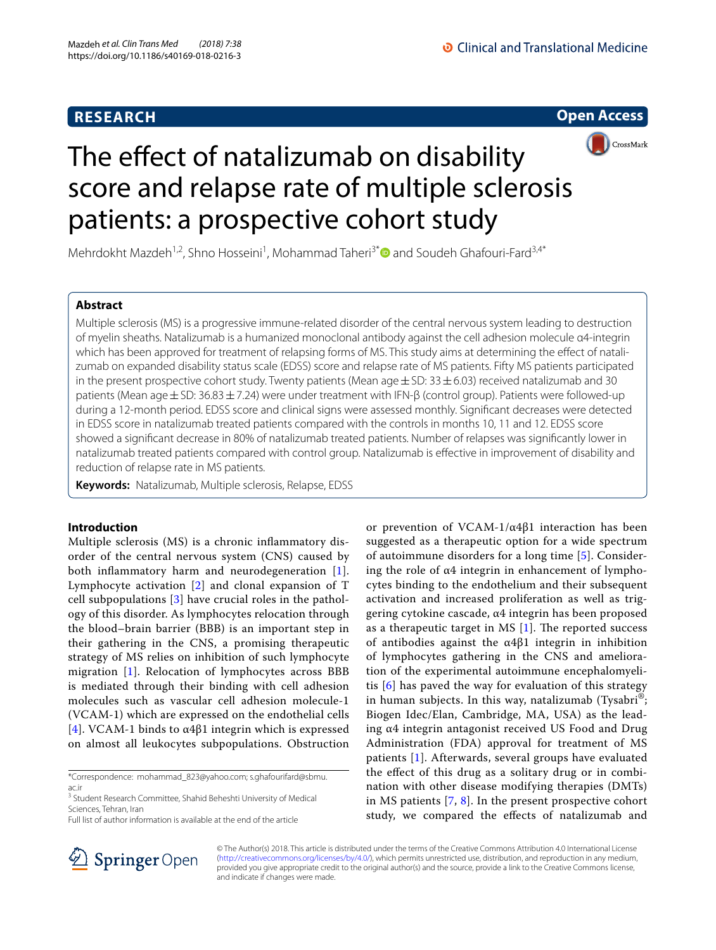## **RESEARCH**

**Open Access**



# The effect of natalizumab on disability score and relapse rate of multiple sclerosis patients: a prospective cohort study

Mehrdokht Mazdeh<sup>1,2</sup>, Shno Hosseini<sup>1</sup>, Mohammad Taheri<sup>3\*</sup> and Soudeh Ghafouri-Fard<sup>3,4\*</sup>

## **Abstract**

Multiple sclerosis (MS) is a progressive immune-related disorder of the central nervous system leading to destruction of myelin sheaths. Natalizumab is a humanized monoclonal antibody against the cell adhesion molecule α4-integrin which has been approved for treatment of relapsing forms of MS. This study aims at determining the effect of natalizumab on expanded disability status scale (EDSS) score and relapse rate of MS patients. Fifty MS patients participated in the present prospective cohort study. Twenty patients (Mean age  $\pm$  SD: 33 $\pm$  6.03) received natalizumab and 30 patients (Mean age±SD: 36.83±7.24) were under treatment with IFN-β (control group). Patients were followed-up during a 12-month period. EDSS score and clinical signs were assessed monthly. Signifcant decreases were detected in EDSS score in natalizumab treated patients compared with the controls in months 10, 11 and 12. EDSS score showed a signifcant decrease in 80% of natalizumab treated patients. Number of relapses was signifcantly lower in natalizumab treated patients compared with control group. Natalizumab is efective in improvement of disability and reduction of relapse rate in MS patients.

**Keywords:** Natalizumab, Multiple sclerosis, Relapse, EDSS

## **Introduction**

Multiple sclerosis (MS) is a chronic infammatory disorder of the central nervous system (CNS) caused by both infammatory harm and neurodegeneration [[1\]](#page-4-0). Lymphocyte activation [\[2](#page-4-1)] and clonal expansion of T cell subpopulations [[3\]](#page-4-2) have crucial roles in the pathology of this disorder. As lymphocytes relocation through the blood–brain barrier (BBB) is an important step in their gathering in the CNS, a promising therapeutic strategy of MS relies on inhibition of such lymphocyte migration [[1](#page-4-0)]. Relocation of lymphocytes across BBB is mediated through their binding with cell adhesion molecules such as vascular cell adhesion molecule-1 (VCAM-1) which are expressed on the endothelial cells [[4](#page-4-3)]. VCAM-1 binds to  $\alpha$ 4 $\beta$ 1 integrin which is expressed on almost all leukocytes subpopulations. Obstruction

\*Correspondence: mohammad\_823@yahoo.com; s.ghafourifard@sbmu. ac.ir

<sup>3</sup> Student Research Committee, Shahid Beheshti University of Medical Sciences, Tehran, Iran





© The Author(s) 2018. This article is distributed under the terms of the Creative Commons Attribution 4.0 International License [\(http://creativecommons.org/licenses/by/4.0/\)](http://creativecommons.org/licenses/by/4.0/), which permits unrestricted use, distribution, and reproduction in any medium, provided you give appropriate credit to the original author(s) and the source, provide a link to the Creative Commons license, and indicate if changes were made.

Full list of author information is available at the end of the article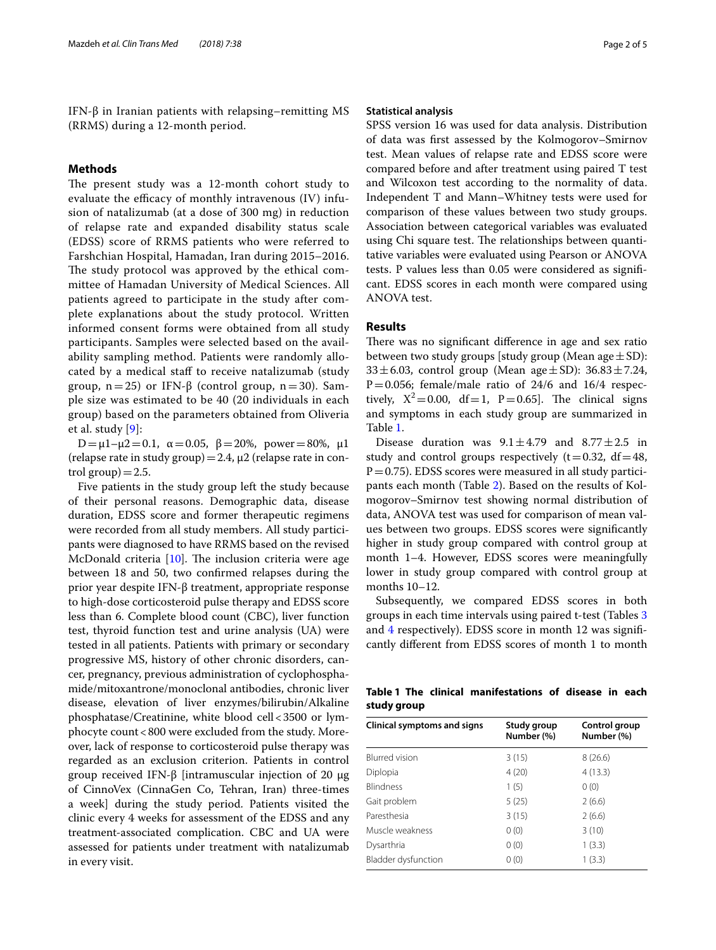IFN-β in Iranian patients with relapsing–remitting MS (RRMS) during a 12-month period.

## **Methods**

The present study was a 12-month cohort study to evaluate the efficacy of monthly intravenous  $(IV)$  infusion of natalizumab (at a dose of 300 mg) in reduction of relapse rate and expanded disability status scale (EDSS) score of RRMS patients who were referred to Farshchian Hospital, Hamadan, Iran during 2015–2016. The study protocol was approved by the ethical committee of Hamadan University of Medical Sciences. All patients agreed to participate in the study after complete explanations about the study protocol. Written informed consent forms were obtained from all study participants. Samples were selected based on the availability sampling method. Patients were randomly allocated by a medical staf to receive natalizumab (study group, n=25) or IFN-β (control group, n=30). Sample size was estimated to be 40 (20 individuals in each group) based on the parameters obtained from Oliveria et al. study [[9\]](#page-4-8):

D=μ1-μ2=0.1, α=0.05, β=20%, power=80%, μ1 (relapse rate in study group) = 2.4,  $\mu$ 2 (relapse rate in control  $group)=2.5$ .

Five patients in the study group left the study because of their personal reasons. Demographic data, disease duration, EDSS score and former therapeutic regimens were recorded from all study members. All study participants were diagnosed to have RRMS based on the revised McDonald criteria  $[10]$  $[10]$ . The inclusion criteria were age between 18 and 50, two confrmed relapses during the prior year despite IFN-β treatment, appropriate response to high-dose corticosteroid pulse therapy and EDSS score less than 6. Complete blood count (CBC), liver function test, thyroid function test and urine analysis (UA) were tested in all patients. Patients with primary or secondary progressive MS, history of other chronic disorders, cancer, pregnancy, previous administration of cyclophosphamide/mitoxantrone/monoclonal antibodies, chronic liver disease, elevation of liver enzymes/bilirubin/Alkaline phosphatase/Creatinine, white blood cell<3500 or lymphocyte count<800 were excluded from the study. Moreover, lack of response to corticosteroid pulse therapy was regarded as an exclusion criterion. Patients in control group received IFN-β [intramuscular injection of 20 μg of CinnoVex (CinnaGen Co, Tehran, Iran) three-times a week] during the study period. Patients visited the clinic every 4 weeks for assessment of the EDSS and any treatment-associated complication. CBC and UA were assessed for patients under treatment with natalizumab in every visit.

#### **Statistical analysis**

SPSS version 16 was used for data analysis. Distribution of data was frst assessed by the Kolmogorov–Smirnov test. Mean values of relapse rate and EDSS score were compared before and after treatment using paired T test and Wilcoxon test according to the normality of data. Independent T and Mann–Whitney tests were used for comparison of these values between two study groups. Association between categorical variables was evaluated using Chi square test. The relationships between quantitative variables were evaluated using Pearson or ANOVA tests. P values less than 0.05 were considered as signifcant. EDSS scores in each month were compared using ANOVA test.

### **Results**

There was no significant difference in age and sex ratio between two study groups [study group (Mean age  $\pm$  SD): 33 $\pm$ 6.03, control group (Mean age $\pm$ SD): 36.83 $\pm$ 7.24,  $P=0.056$ ; female/male ratio of 24/6 and 16/4 respectively,  $X^2 = 0.00$ , df = 1, P = 0.65]. The clinical signs and symptoms in each study group are summarized in Table [1](#page-1-0).

Disease duration was  $9.1 \pm 4.79$  and  $8.77 \pm 2.5$  in study and control groups respectively  $(t=0.32, df=48,$  $P=0.75$ ). EDSS scores were measured in all study participants each month (Table [2](#page-2-0)). Based on the results of Kolmogorov–Smirnov test showing normal distribution of data, ANOVA test was used for comparison of mean values between two groups. EDSS scores were signifcantly higher in study group compared with control group at month 1–4. However, EDSS scores were meaningfully lower in study group compared with control group at months 10–12.

Subsequently, we compared EDSS scores in both groups in each time intervals using paired t-test (Tables [3](#page-2-1) and [4](#page-3-0) respectively). EDSS score in month 12 was signifcantly diferent from EDSS scores of month 1 to month

<span id="page-1-0"></span>

|             |  | Table 1 The clinical manifestations of disease in each |  |  |
|-------------|--|--------------------------------------------------------|--|--|
| study group |  |                                                        |  |  |

| Study group<br>Number (%) | Control group<br>Number (%) |
|---------------------------|-----------------------------|
| 3(15)                     | 8(26.6)                     |
| 4(20)                     | 4(13.3)                     |
| 1(5)                      | 0(0)                        |
| 5(25)                     | 2(6.6)                      |
| 3(15)                     | 2(6.6)                      |
| 0(0)                      | 3(10)                       |
| 0(0)                      | 1(3.3)                      |
| 0(0)                      | 1(3.3)                      |
|                           |                             |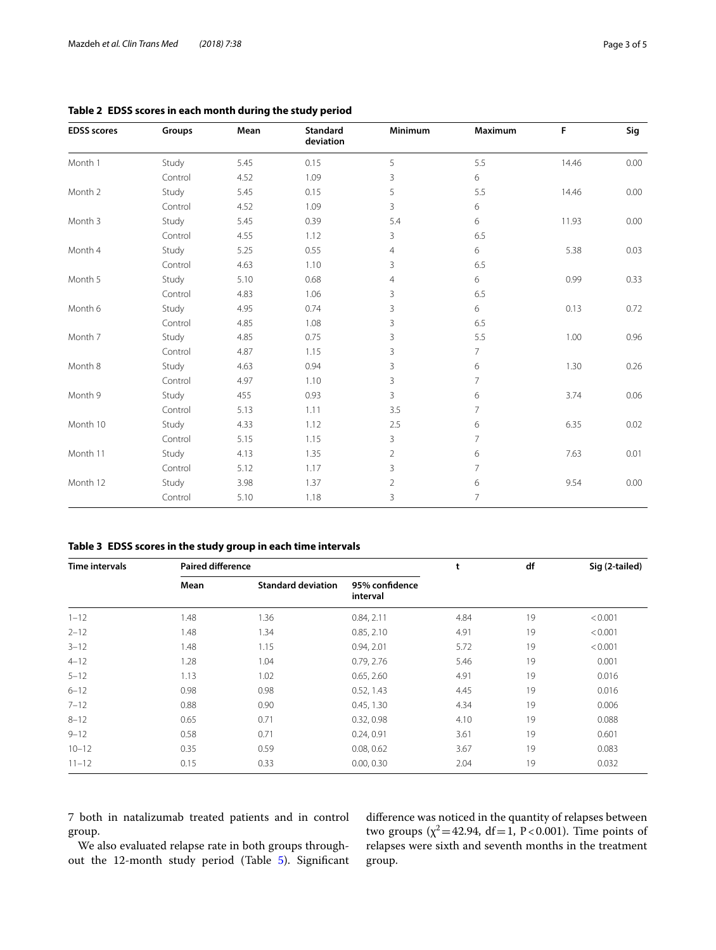| <b>EDSS</b> scores | Groups  | Mean | Standard<br>deviation | Minimum        | Maximum        | F     | Sig  |
|--------------------|---------|------|-----------------------|----------------|----------------|-------|------|
| Month 1            | Study   | 5.45 | 0.15                  | 5              | 5.5            | 14.46 | 0.00 |
|                    | Control | 4.52 | 1.09                  | 3              | 6              |       |      |
| Month 2            | Study   | 5.45 | 0.15                  | 5              | 5.5            | 14.46 | 0.00 |
|                    | Control | 4.52 | 1.09                  | 3              | 6              |       |      |
| Month 3            | Study   | 5.45 | 0.39                  | 5.4            | 6              | 11.93 | 0.00 |
|                    | Control | 4.55 | 1.12                  | 3              | 6.5            |       |      |
| Month 4            | Study   | 5.25 | 0.55                  | $\overline{4}$ | 6              | 5.38  | 0.03 |
|                    | Control | 4.63 | 1.10                  | 3              | 6.5            |       |      |
| Month 5            | Study   | 5.10 | 0.68                  | $\overline{4}$ | 6              | 0.99  | 0.33 |
|                    | Control | 4.83 | 1.06                  | 3              | 6.5            |       |      |
| Month 6            | Study   | 4.95 | 0.74                  | 3              | 6              | 0.13  | 0.72 |
|                    | Control | 4.85 | 1.08                  | 3              | 6.5            |       |      |
| Month 7            | Study   | 4.85 | 0.75                  | 3              | 5.5            | 1.00  | 0.96 |
|                    | Control | 4.87 | 1.15                  | 3              | $7^{\circ}$    |       |      |
| Month 8            | Study   | 4.63 | 0.94                  | $\overline{3}$ | 6              | 1.30  | 0.26 |
|                    | Control | 4.97 | 1.10                  | 3              | $\overline{7}$ |       |      |
| Month 9            | Study   | 455  | 0.93                  | 3              | 6              | 3.74  | 0.06 |
|                    | Control | 5.13 | 1.11                  | 3.5            | 7              |       |      |
| Month 10           | Study   | 4.33 | 1.12                  | 2.5            | 6              | 6.35  | 0.02 |
|                    | Control | 5.15 | 1.15                  | 3              | $\overline{7}$ |       |      |
| Month 11           | Study   | 4.13 | 1.35                  | $\overline{2}$ | 6              | 7.63  | 0.01 |
|                    | Control | 5.12 | 1.17                  | 3              | 7              |       |      |
| Month 12           | Study   | 3.98 | 1.37                  | $\overline{2}$ | 6              | 9.54  | 0.00 |
|                    | Control | 5.10 | 1.18                  | 3              | 7              |       |      |

## <span id="page-2-0"></span>**Table 2 EDSS scores in each month during the study period**

<span id="page-2-1"></span>**Table 3 EDSS scores in the study group in each time intervals**

| <b>Time intervals</b> | <b>Paired difference</b> |                           |                            | t    | df | Sig (2-tailed) |
|-----------------------|--------------------------|---------------------------|----------------------------|------|----|----------------|
|                       | Mean                     | <b>Standard deviation</b> | 95% confidence<br>interval |      |    |                |
| $1 - 12$              | 1.48                     | 1.36                      | 0.84, 2.11                 | 4.84 | 19 | < 0.001        |
| $2 - 12$              | 1.48                     | 1.34                      | 0.85, 2.10                 | 4.91 | 19 | < 0.001        |
| $3 - 12$              | 1.48                     | 1.15                      | 0.94, 2.01                 | 5.72 | 19 | < 0.001        |
| $4 - 12$              | 1.28                     | 1.04                      | 0.79, 2.76                 | 5.46 | 19 | 0.001          |
| $5 - 12$              | 1.13                     | 1.02                      | 0.65, 2.60                 | 4.91 | 19 | 0.016          |
| $6 - 12$              | 0.98                     | 0.98                      | 0.52, 1.43                 | 4.45 | 19 | 0.016          |
| $7 - 12$              | 0.88                     | 0.90                      | 0.45, 1.30                 | 4.34 | 19 | 0.006          |
| $8 - 12$              | 0.65                     | 0.71                      | 0.32, 0.98                 | 4.10 | 19 | 0.088          |
| $9 - 12$              | 0.58                     | 0.71                      | 0.24, 0.91                 | 3.61 | 19 | 0.601          |
| $10 - 12$             | 0.35                     | 0.59                      | 0.08, 0.62                 | 3.67 | 19 | 0.083          |
| $11 - 12$             | 0.15                     | 0.33                      | 0.00, 0.30                 | 2.04 | 19 | 0.032          |

7 both in natalizumab treated patients and in control group.

We also evaluated relapse rate in both groups throughout the 12-month study period (Table [5](#page-3-1)). Signifcant diference was noticed in the quantity of relapses between two groups  $(\chi^2 = 42.94, df = 1, P < 0.001)$ . Time points of relapses were sixth and seventh months in the treatment group.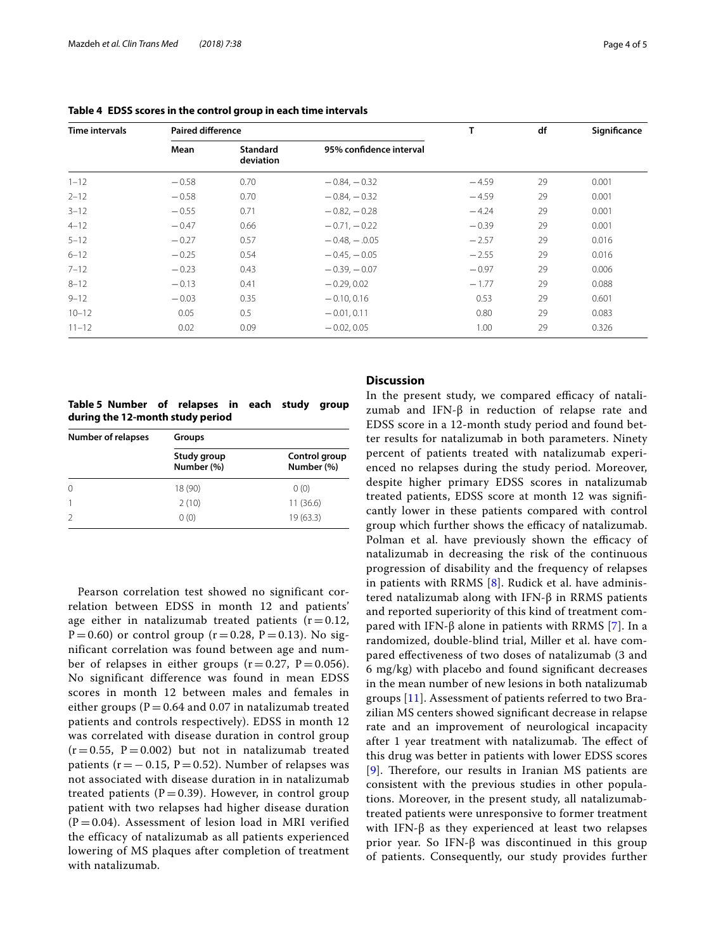| Time intervals | <b>Paired difference</b> |                              |                         | T       | df | Significance |
|----------------|--------------------------|------------------------------|-------------------------|---------|----|--------------|
|                | Mean                     | <b>Standard</b><br>deviation | 95% confidence interval |         |    |              |
| $1 - 12$       | $-0.58$                  | 0.70                         | $-0.84, -0.32$          | $-4.59$ | 29 | 0.001        |
| $2 - 12$       | $-0.58$                  | 0.70                         | $-0.84, -0.32$          | $-4.59$ | 29 | 0.001        |
| $3 - 12$       | $-0.55$                  | 0.71                         | $-0.82, -0.28$          | $-4.24$ | 29 | 0.001        |
| $4 - 12$       | $-0.47$                  | 0.66                         | $-0.71, -0.22$          | $-0.39$ | 29 | 0.001        |
| $5 - 12$       | $-0.27$                  | 0.57                         | $-0.48, -.0.05$         | $-2.57$ | 29 | 0.016        |
| $6 - 12$       | $-0.25$                  | 0.54                         | $-0.45, -0.05$          | $-2.55$ | 29 | 0.016        |
| $7 - 12$       | $-0.23$                  | 0.43                         | $-0.39, -0.07$          | $-0.97$ | 29 | 0.006        |
| $8 - 12$       | $-0.13$                  | 0.41                         | $-0.29.0.02$            | $-1.77$ | 29 | 0.088        |
| $9 - 12$       | $-0.03$                  | 0.35                         | $-0.10, 0.16$           | 0.53    | 29 | 0.601        |
| $10 - 12$      | 0.05                     | 0.5                          | $-0.01, 0.11$           | 0.80    | 29 | 0.083        |
| $11 - 12$      | 0.02                     | 0.09                         | $-0.02, 0.05$           | 1.00    | 29 | 0.326        |

<span id="page-3-0"></span>**Table 4 EDSS scores in the control group in each time intervals**

<span id="page-3-1"></span>**Table 5 Number of relapses in each study group during the 12-month study period**

| <b>Number of relapses</b> | Groups                    |                             |  |  |  |
|---------------------------|---------------------------|-----------------------------|--|--|--|
|                           | Study group<br>Number (%) | Control group<br>Number (%) |  |  |  |
| $\Omega$                  | 18 (90)                   | 0(0)                        |  |  |  |
|                           | 2(10)                     | 11(36.6)                    |  |  |  |
|                           | 0(0)                      | 19(63.3)                    |  |  |  |

Pearson correlation test showed no significant correlation between EDSS in month 12 and patients' age either in natalizumab treated patients  $(r=0.12,$  $P = 0.60$ ) or control group (r = 0.28, P = 0.13). No significant correlation was found between age and number of relapses in either groups  $(r = 0.27, P = 0.056)$ . No significant difference was found in mean EDSS scores in month 12 between males and females in either groups ( $P = 0.64$  and 0.07 in natalizumab treated patients and controls respectively). EDSS in month 12 was correlated with disease duration in control group  $(r = 0.55, P = 0.002)$  but not in natalizumab treated patients ( $r = -0.15$ ,  $P = 0.52$ ). Number of relapses was not associated with disease duration in in natalizumab treated patients ( $P = 0.39$ ). However, in control group patient with two relapses had higher disease duration  $(P = 0.04)$ . Assessment of lesion load in MRI verified the efficacy of natalizumab as all patients experienced lowering of MS plaques after completion of treatment with natalizumab.

## **Discussion**

In the present study, we compared efficacy of natalizumab and IFN-β in reduction of relapse rate and EDSS score in a 12-month study period and found better results for natalizumab in both parameters. Ninety percent of patients treated with natalizumab experienced no relapses during the study period. Moreover, despite higher primary EDSS scores in natalizumab treated patients, EDSS score at month 12 was signifcantly lower in these patients compared with control group which further shows the efficacy of natalizumab. Polman et al. have previously shown the efficacy of natalizumab in decreasing the risk of the continuous progression of disability and the frequency of relapses in patients with RRMS [[8\]](#page-4-7). Rudick et al. have administered natalizumab along with IFN-β in RRMS patients and reported superiority of this kind of treatment compared with IFN-β alone in patients with RRMS [[7\]](#page-4-6). In a randomized, double-blind trial, Miller et al. have compared efectiveness of two doses of natalizumab (3 and 6 mg/kg) with placebo and found signifcant decreases in the mean number of new lesions in both natalizumab groups [\[11](#page-4-10)]. Assessment of patients referred to two Brazilian MS centers showed signifcant decrease in relapse rate and an improvement of neurological incapacity after 1 year treatment with natalizumab. The effect of this drug was better in patients with lower EDSS scores  $[9]$  $[9]$  $[9]$ . Therefore, our results in Iranian MS patients are consistent with the previous studies in other populations. Moreover, in the present study, all natalizumabtreated patients were unresponsive to former treatment with IFN- $β$  as they experienced at least two relapses prior year. So IFN-β was discontinued in this group of patients. Consequently, our study provides further